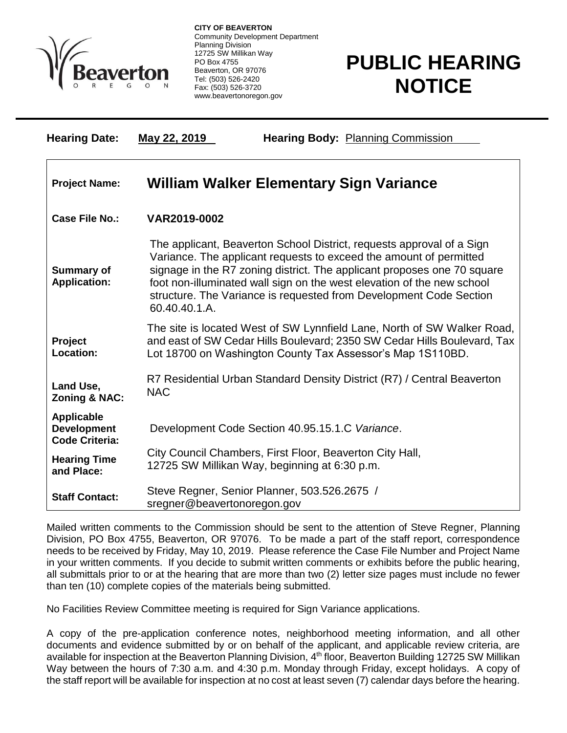

 $\overline{a}$ 

**CITY OF BEAVERTON** Community Development Department Planning Division 12725 SW Millikan Way PO Box 4755 Beaverton, OR 97076 Tel: (503) 526-2420 Fax: (503) 526-3720 www.beavertonoregon.gov

## **PUBLIC HEARING NOTICE**

| <b>Hearing Date:</b>                                             | May 22, 2019<br><b>Hearing Body: Planning Commission</b>                                                                                                                                                                                                                                                                                                                                |
|------------------------------------------------------------------|-----------------------------------------------------------------------------------------------------------------------------------------------------------------------------------------------------------------------------------------------------------------------------------------------------------------------------------------------------------------------------------------|
| <b>Project Name:</b>                                             | William Walker Elementary Sign Variance                                                                                                                                                                                                                                                                                                                                                 |
| <b>Case File No.:</b>                                            | VAR2019-0002                                                                                                                                                                                                                                                                                                                                                                            |
| <b>Summary of</b><br><b>Application:</b>                         | The applicant, Beaverton School District, requests approval of a Sign<br>Variance. The applicant requests to exceed the amount of permitted<br>signage in the R7 zoning district. The applicant proposes one 70 square<br>foot non-illuminated wall sign on the west elevation of the new school<br>structure. The Variance is requested from Development Code Section<br>60.40.40.1.A. |
| Project<br>Location:                                             | The site is located West of SW Lynnfield Lane, North of SW Walker Road,<br>and east of SW Cedar Hills Boulevard; 2350 SW Cedar Hills Boulevard, Tax<br>Lot 18700 on Washington County Tax Assessor's Map 1S110BD.                                                                                                                                                                       |
| Land Use,<br>Zoning & NAC:                                       | R7 Residential Urban Standard Density District (R7) / Central Beaverton<br><b>NAC</b>                                                                                                                                                                                                                                                                                                   |
| <b>Applicable</b><br><b>Development</b><br><b>Code Criteria:</b> | Development Code Section 40.95.15.1.C Variance.                                                                                                                                                                                                                                                                                                                                         |
| <b>Hearing Time</b><br>and Place:                                | City Council Chambers, First Floor, Beaverton City Hall,<br>12725 SW Millikan Way, beginning at 6:30 p.m.                                                                                                                                                                                                                                                                               |
| <b>Staff Contact:</b>                                            | Steve Regner, Senior Planner, 503.526.2675 /<br>sregner@beavertonoregon.gov                                                                                                                                                                                                                                                                                                             |

Mailed written comments to the Commission should be sent to the attention of Steve Regner, Planning Division, PO Box 4755, Beaverton, OR 97076. To be made a part of the staff report, correspondence needs to be received by Friday, May 10, 2019. Please reference the Case File Number and Project Name in your written comments. If you decide to submit written comments or exhibits before the public hearing, all submittals prior to or at the hearing that are more than two (2) letter size pages must include no fewer than ten (10) complete copies of the materials being submitted.

No Facilities Review Committee meeting is required for Sign Variance applications.

A copy of the pre-application conference notes, neighborhood meeting information, and all other documents and evidence submitted by or on behalf of the applicant, and applicable review criteria, are available for inspection at the Beaverton Planning Division, 4<sup>th</sup> floor, Beaverton Building 12725 SW Millikan Way between the hours of 7:30 a.m. and 4:30 p.m. Monday through Friday, except holidays. A copy of the staff report will be available for inspection at no cost at least seven (7) calendar days before the hearing.